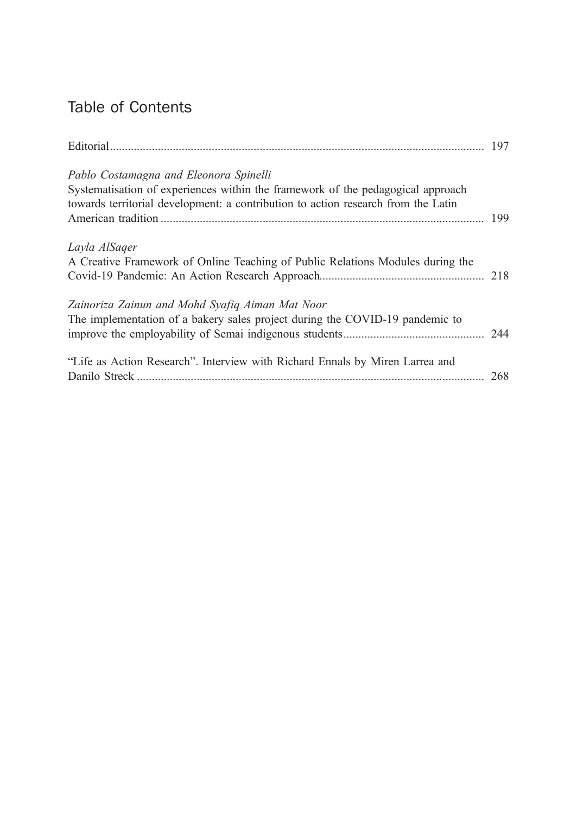# Table of Contents

| Pablo Costamagna and Eleonora Spinelli<br>Systematisation of experiences within the framework of the pedagogical approach<br>towards territorial development: a contribution to action research from the Latin |  |
|----------------------------------------------------------------------------------------------------------------------------------------------------------------------------------------------------------------|--|
| Layla AlSager<br>A Creative Framework of Online Teaching of Public Relations Modules during the                                                                                                                |  |
| Zainoriza Zainun and Mohd Syafiq Aiman Mat Noor<br>The implementation of a bakery sales project during the COVID-19 pandemic to                                                                                |  |
| "Life as Action Research". Interview with Richard Ennals by Miren Larrea and                                                                                                                                   |  |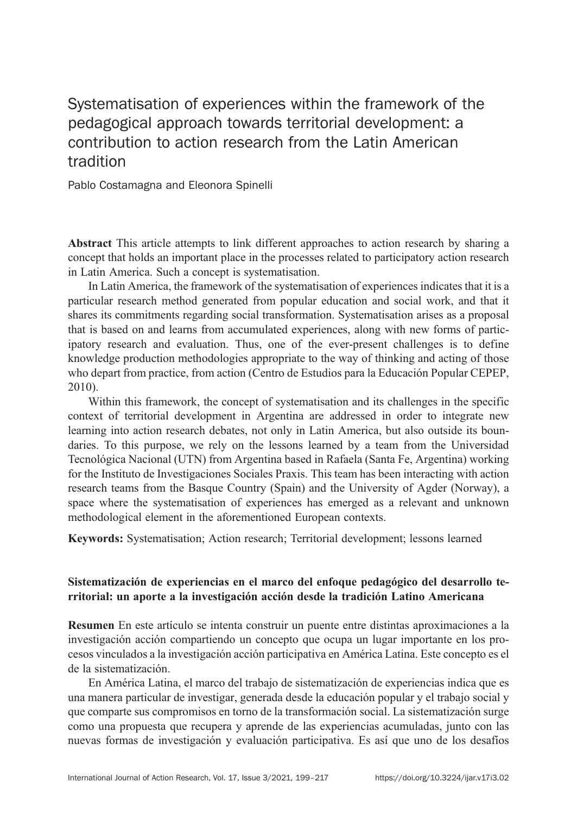# Systematisation of experiences within the framework of the pedagogical approach towards territorial development: a contribution to action research from the Latin American tradition

Pablo Costamagna and Eleonora Spinelli

Abstract This article attempts to link different approaches to action research by sharing a concept that holds an important place in the processes related to participatory action research in Latin America. Such a concept is systematisation.

In Latin America, the framework of the systematisation of experiences indicates that it is a particular research method generated from popular education and social work, and that it shares its commitments regarding social transformation. Systematisation arises as a proposal that is based on and learns from accumulated experiences, along with new forms of participatory research and evaluation. Thus, one of the ever-present challenges is to define knowledge production methodologies appropriate to the way of thinking and acting of those who depart from practice, from action (Centro de Estudios para la Educación Popular CEPEP, 2010).

Within this framework, the concept of systematisation and its challenges in the specific context of territorial development in Argentina are addressed in order to integrate new learning into action research debates, not only in Latin America, but also outside its boundaries. To this purpose, we rely on the lessons learned by a team from the Universidad Tecnológica Nacional (UTN) from Argentina based in Rafaela (Santa Fe, Argentina) working for the Instituto de Investigaciones Sociales Praxis. This team has been interacting with action research teams from the Basque Country (Spain) and the University of Agder (Norway), a space where the systematisation of experiences has emerged as a relevant and unknown methodological element in the aforementioned European contexts.

Keywords: Systematisation; Action research; Territorial development; lessons learned

### Sistematización de experiencias en el marco del enfoque pedagógico del desarrollo territorial: un aporte a la investigación acción desde la tradición Latino Americana

Resumen En este artículo se intenta construir un puente entre distintas aproximaciones a la investigación acción compartiendo un concepto que ocupa un lugar importante en los procesos vinculadosala investigación acción participativa en América Latina. Este concepto es el de la sistematización.

En América Latina, el marco del trabajo de sistematización de experiencias indica que es una manera particular de investigar, generada desde la educación popular y el trabajo social y que comparte sus compromisos en torno de la transformación social. La sistematización surge como una propuesta que recupera y aprende de las experiencias acumuladas, junto con las nuevas formas de investigación y evaluación participativa. Es así que uno de los desafíos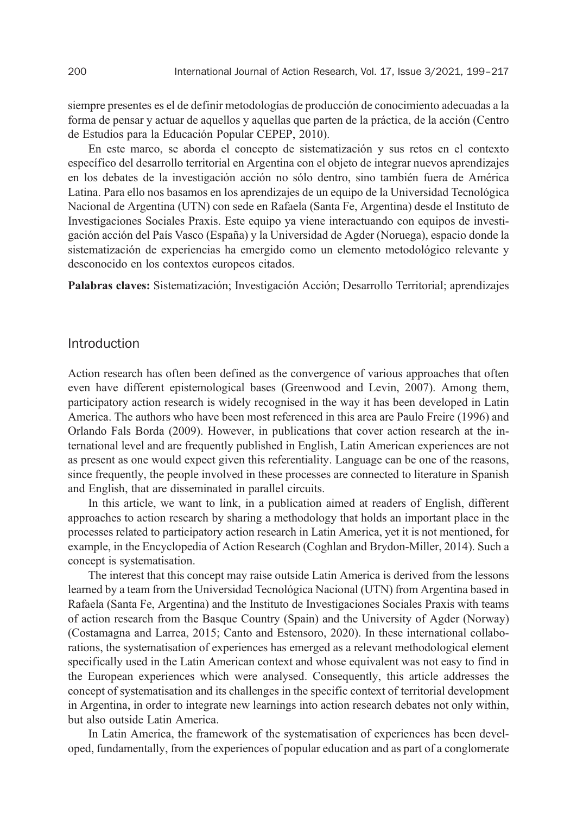siempre presentes es el de definir metodologías de producción de conocimiento adecuadas a la forma de pensar y actuar de aquellos y aquellas que parten de la práctica, de la acción (Centro de Estudios para la Educación Popular CEPEP, 2010).

En este marco, se aborda el concepto de sistematización y sus retos en el contexto específico del desarrollo territorial en Argentina con el objeto de integrar nuevos aprendizajes en los debates de la investigación acción no sólo dentro, sino también fuera de América Latina. Para ello nos basamos en los aprendizajes de un equipo de la Universidad Tecnológica Nacional de Argentina (UTN) con sede en Rafaela (Santa Fe, Argentina) desde el Instituto de Investigaciones Sociales Praxis. Este equipo ya viene interactuando con equipos de investigación acción del País Vasco (España) y la Universidad de Agder (Noruega), espacio donde la sistematización de experiencias ha emergido como un elemento metodológico relevante y desconocido en los contextos europeos citados.

Palabras claves: Sistematización; Investigación Acción; Desarrollo Territorial; aprendizajes

#### Introduction

Action research has often been defined as the convergence of various approaches that often even have different epistemological bases (Greenwood and Levin, 2007). Among them, participatory action research is widely recognised in the way it has been developed in Latin America. The authors who have been most referenced in this area are Paulo Freire (1996) and Orlando Fals Borda (2009). However, in publications that cover action research at the international level and are frequently published in English, Latin American experiences are not as present as one would expect given this referentiality. Language can be one of the reasons, since frequently, the people involved in these processes are connected to literature in Spanish and English, that are disseminated in parallel circuits.

In this article, we want to link, in a publication aimed at readers of English, different approaches to action research by sharing a methodology that holds an important place in the processes related to participatory action research in Latin America, yet it is not mentioned, for example, in the Encyclopedia of Action Research (Coghlan and Brydon-Miller, 2014). Such a concept is systematisation.

The interest that this concept may raise outside Latin America is derived from the lessons learned by a team from the Universidad Tecnológica Nacional (UTN) from Argentina based in Rafaela (Santa Fe, Argentina) and the Instituto de Investigaciones Sociales Praxis with teams of action research from the Basque Country (Spain) and the University of Agder (Norway) (Costamagna and Larrea, 2015; Canto and Estensoro, 2020). In these international collaborations, the systematisation of experiences has emerged as a relevant methodological element specifically used in the Latin American context and whose equivalent was not easy to find in the European experiences which were analysed. Consequently, this article addresses the concept of systematisation and its challenges in the specific context of territorial development in Argentina, in order to integrate new learnings into action research debates not only within, but also outside Latin America.

In Latin America, the framework of the systematisation of experiences has been developed, fundamentally, from the experiences of popular education and as part of a conglomerate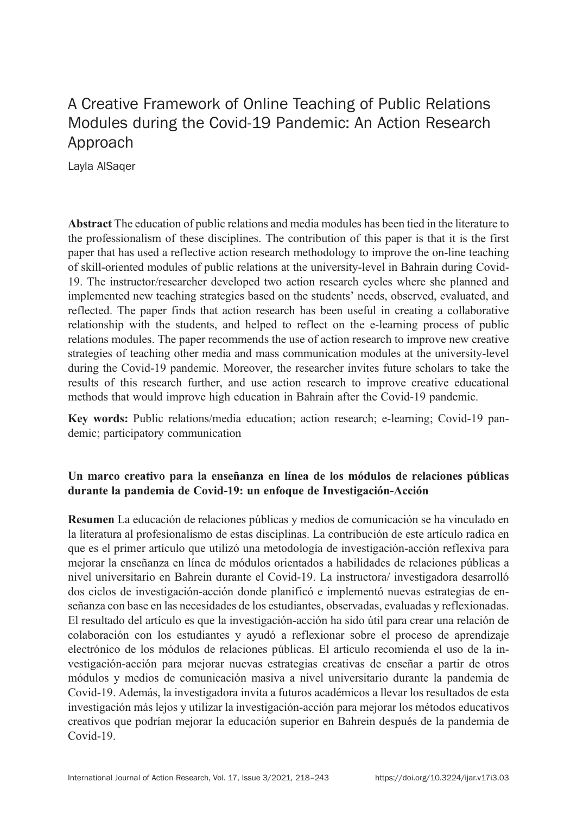# A Creative Framework of Online Teaching of Public Relations Modules during the Covid-19 Pandemic: An Action Research Approach

Layla AlSaqer

Abstract The education of public relations and media modules has been tied in the literature to the professionalism of these disciplines. The contribution of this paper is that it is the first paper that has used a reflective action research methodology to improve the on-line teaching of skill-oriented modules of public relations at the university-level in Bahrain during Covid-19. The instructor/researcher developed two action research cycles where she planned and implemented new teaching strategies based on the students' needs, observed, evaluated, and reflected. The paper finds that action research has been useful in creating a collaborative relationship with the students, and helped to reflect on the e-learning process of public relations modules. The paper recommends the use of action research to improve new creative strategies of teaching other media and mass communication modules at the university-level during the Covid-19 pandemic. Moreover, the researcher invites future scholars to take the results of this research further, and use action research to improve creative educational methods that would improve high education in Bahrain after the Covid-19 pandemic.

Key words: Public relations/media education; action research; e-learning; Covid-19 pandemic; participatory communication

### Un marco creativo para la enseñanza en línea de los módulos de relaciones públicas durante la pandemia de Covid-19: un enfoque de Investigación-Acción

Resumen La educación de relaciones públicas y medios de comunicación se ha vinculado en la literatura al profesionalismo de estas disciplinas. La contribución de este artículo radica en que es el primer artículo que utilizó una metodología de investigación-acción reflexiva para mejorar la enseñanza en línea de módulos orientados a habilidades de relaciones públicas a nivel universitario en Bahrein durante el Covid-19. La instructora/ investigadora desarrolló dos ciclos de investigación-acción donde planificó e implementó nuevas estrategias de enseñanza con base en las necesidades de los estudiantes, observadas, evaluadas y reflexionadas. El resultado del artículo es que la investigación-acción ha sido útil para crear una relación de colaboración con los estudiantes y ayudó a reflexionar sobre el proceso de aprendizaje electrónico de los módulos de relaciones públicas. El artículo recomienda el uso de la investigación-acción para mejorar nuevas estrategias creativas de enseñar a partir de otros módulos y medios de comunicación masiva a nivel universitario durante la pandemia de Covid-19. Además, la investigadora invita a futuros académicos a llevar los resultados de esta investigación más lejos y utilizar la investigación-acción para mejorar los métodos educativos creativos que podrían mejorar la educación superior en Bahrein después de la pandemia de Covid-19.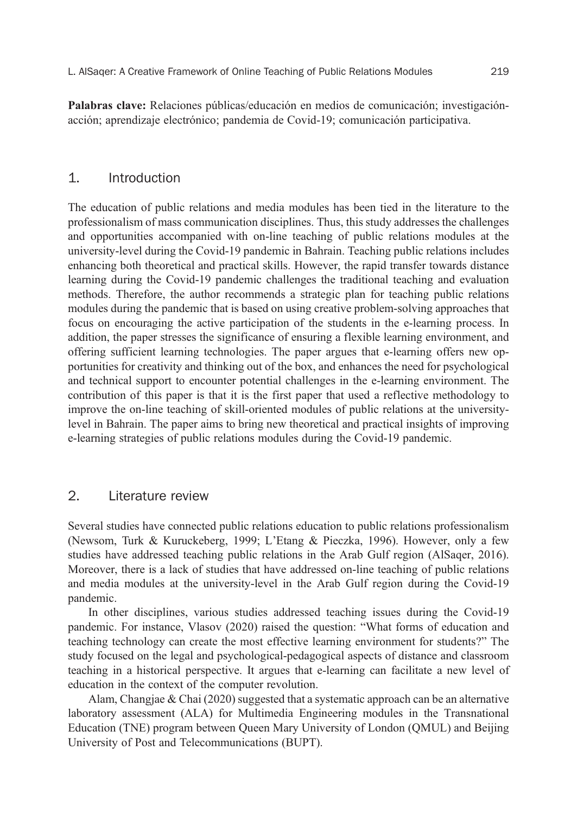Palabras clave: Relaciones públicas/educación en medios de comunicación; investigaciónacción; aprendizaje electrónico; pandemia de Covid-19; comunicación participativa.

### 1. Introduction

The education of public relations and media modules has been tied in the literature to the professionalism of mass communication disciplines. Thus, this study addresses the challenges and opportunities accompanied with on-line teaching of public relations modules at the university-level during the Covid-19 pandemic in Bahrain. Teaching public relations includes enhancing both theoretical and practical skills. However, the rapid transfer towards distance learning during the Covid-19 pandemic challenges the traditional teaching and evaluation methods. Therefore, the author recommends a strategic plan for teaching public relations modules during the pandemic that is based on using creative problem-solving approaches that focus on encouraging the active participation of the students in the e-learning process. In addition, the paper stresses the significance of ensuring a flexible learning environment, and offering sufficient learning technologies. The paper argues that e-learning offers new opportunities for creativity and thinking out of the box, and enhances the need for psychological and technical support to encounter potential challenges in the e-learning environment. The contribution of this paper is that it is the first paper that used a reflective methodology to improve the on-line teaching of skill-oriented modules of public relations at the universitylevel in Bahrain. The paper aims to bring new theoretical and practical insights of improving e-learning strategies of public relations modules during the Covid-19 pandemic.

#### 2. Literature review

Several studies have connected public relations education to public relations professionalism (Newsom, Turk & Kuruckeberg, 1999; L'Etang & Pieczka, 1996). However, only a few studies have addressed teaching public relations in the Arab Gulf region (AlSaqer, 2016). Moreover, there is a lack of studies that have addressed on-line teaching of public relations and media modules at the university-level in the Arab Gulf region during the Covid-19 pandemic.

In other disciplines, various studies addressed teaching issues during the Covid-19 pandemic. For instance, Vlasov (2020) raised the question: "What forms of education and teaching technology can create the most effective learning environment for students?" The study focused on the legal and psychological-pedagogical aspects of distance and classroom teaching in a historical perspective. It argues that e-learning can facilitate a new level of education in the context of the computer revolution.

Alam, Changjae & Chai  $(2020)$  suggested that a systematic approach can be an alternative laboratory assessment (ALA) for Multimedia Engineering modules in the Transnational Education (TNE) program between Queen Mary University of London (QMUL) and Beijing University of Post and Telecommunications (BUPT).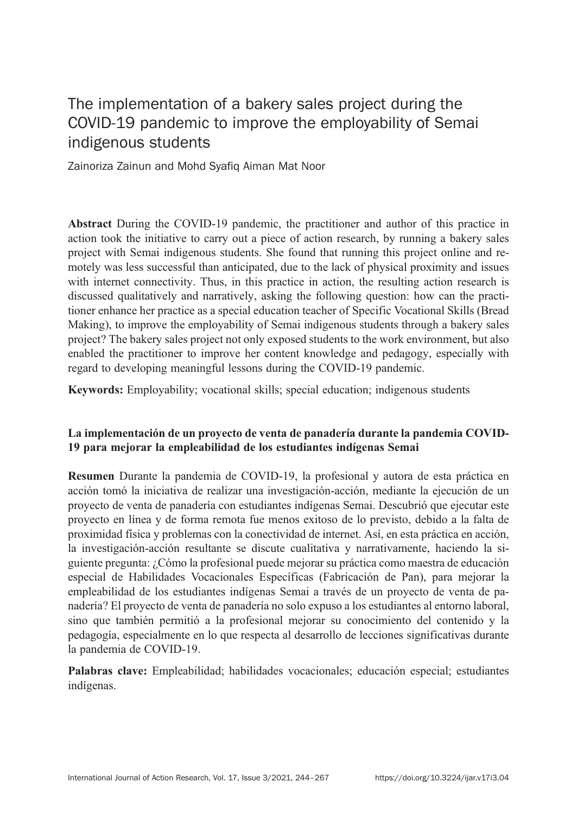# The implementation of a bakery sales project during the COVID-19 pandemic to improve the employability of Semai indigenous students

Zainoriza Zainun and Mohd Syafiq Aiman Mat Noor

Abstract During the COVID-19 pandemic, the practitioner and author of this practice in action took the initiative to carry out a piece of action research, by running a bakery sales project with Semai indigenous students. She found that running this project online and remotely was less successful than anticipated, due to the lack of physical proximity and issues with internet connectivity. Thus, in this practice in action, the resulting action research is discussed qualitatively and narratively, asking the following question: how can the practitioner enhance her practice as a special education teacher of Specific Vocational Skills (Bread Making), to improve the employability of Semai indigenous students through a bakery sales project? The bakery sales project not only exposed students to the work environment, but also enabled the practitioner to improve her content knowledge and pedagogy, especially with regard to developing meaningful lessons during the COVID-19 pandemic.

Keywords: Employability; vocational skills; special education; indigenous students

### La implementación de un proyecto de venta de panadería durante la pandemia COVID-19 para mejorar la empleabilidad de los estudiantes indígenas Semai

Resumen Durante la pandemia de COVID-19, la profesional y autora de esta práctica en acción tomó la iniciativa de realizar una investigación-acción, mediante la ejecución de un proyecto de venta de panadería con estudiantes indígenas Semai. Descubrió que ejecutar este proyecto en línea y de forma remota fue menos exitoso de lo previsto, debido a la falta de proximidad física y problemas con la conectividad de internet. Así, en esta práctica en acción, la investigación-acción resultante se discute cualitativa y narrativamente, haciendo la siguiente pregunta: ¿Cómo la profesional puede mejorar su práctica como maestra de educación especial de Habilidades Vocacionales Específicas (Fabricación de Pan), para mejorar la empleabilidad de los estudiantes indígenas Semai a través de un proyecto de venta de panadería? El proyecto de venta de panadería no solo expuso a los estudiantes al entorno laboral, sino que también permitió a la profesional mejorar su conocimiento del contenido y la pedagogía, especialmente en lo que respecta al desarrollo de lecciones significativas durante la pandemia de COVID-19.

Palabras clave: Empleabilidad; habilidades vocacionales; educación especial; estudiantes indígenas.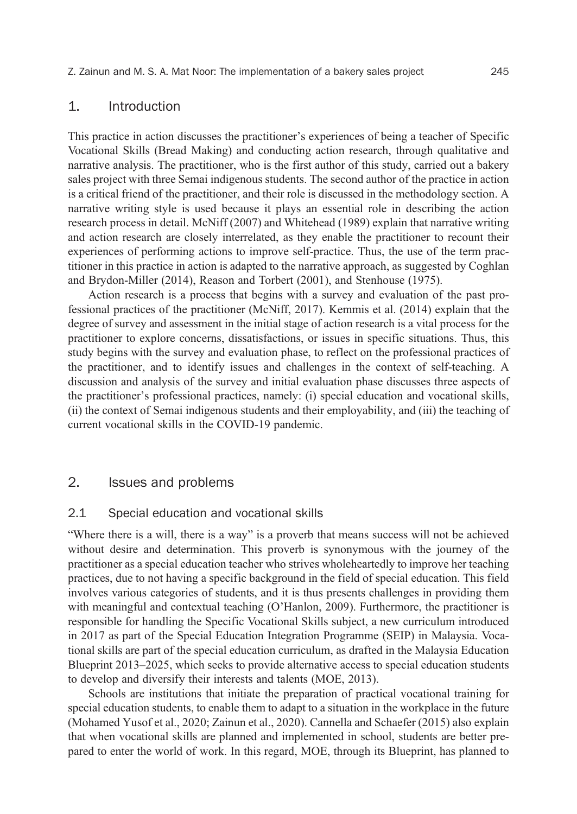Z. Zainun and M. S. A. Mat Noor: The implementation of a bakery sales project 245

#### 1. Introduction

This practice in action discusses the practitioner's experiences of being a teacher of Specific Vocational Skills (Bread Making) and conducting action research, through qualitative and narrative analysis. The practitioner, who is the first author of this study, carried out a bakery sales project with three Semai indigenous students. The second author of the practice in action is a critical friend of the practitioner, and their role is discussed in the methodology section. A narrative writing style is used because it plays an essential role in describing the action research process in detail. McNiff (2007) and Whitehead (1989) explain that narrative writing and action research are closely interrelated, as they enable the practitioner to recount their experiences of performing actions to improve self-practice. Thus, the use of the term practitioner in this practice in action is adapted to the narrative approach, as suggested by Coghlan and Brydon-Miller (2014), Reason and Torbert (2001), and Stenhouse (1975).

Action research is a process that begins with a survey and evaluation of the past professional practices of the practitioner (McNiff, 2017). Kemmis et al. (2014) explain that the degree of survey and assessment in the initial stage of action research is a vital process for the practitioner to explore concerns, dissatisfactions, or issues in specific situations. Thus, this study begins with the survey and evaluation phase, to reflect on the professional practices of the practitioner, and to identify issues and challenges in the context of self-teaching. A discussion and analysis of the survey and initial evaluation phase discusses three aspects of the practitioner's professional practices, namely: (i) special education and vocational skills, (ii) the context of Semai indigenous students and their employability, and (iii) the teaching of current vocational skills in the COVID-19 pandemic.

## 2. Issues and problems

#### 2.1 Special education and vocational skills

"Where there is a will, there is a way" is a proverb that means success will not be achieved without desire and determination. This proverb is synonymous with the journey of the practitioner as a special education teacher who strives wholeheartedly to improve her teaching practices, due to not having a specific background in the field of special education. This field involves various categories of students, and it is thus presents challenges in providing them with meaningful and contextual teaching (O'Hanlon, 2009). Furthermore, the practitioner is responsible for handling the Specific Vocational Skills subject, a new curriculum introduced in 2017 as part of the Special Education Integration Programme (SEIP) in Malaysia. Vocational skills are part of the special education curriculum, as drafted in the Malaysia Education Blueprint 2013–2025, which seeks to provide alternative access to special education students to develop and diversify their interests and talents (MOE, 2013).

Schools are institutions that initiate the preparation of practical vocational training for special education students, to enable them to adapt to a situation in the workplace in the future (Mohamed Yusof et al., 2020; Zainun et al., 2020). Cannella and Schaefer (2015) also explain that when vocational skills are planned and implemented in school, students are better prepared to enter the world of work. In this regard, MOE, through its Blueprint, has planned to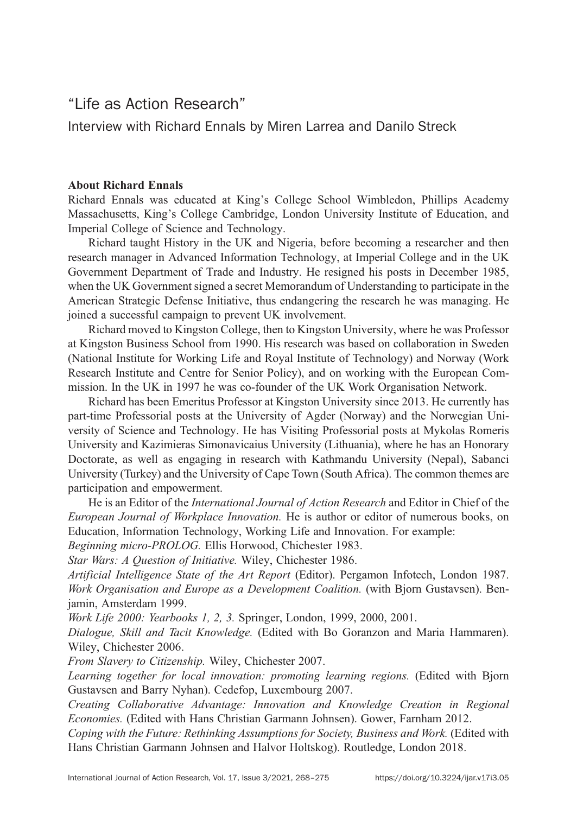# "Life as Action Research"

Interview with Richard Ennals by Miren Larrea and Danilo Streck

### About Richard Ennals

Richard Ennals was educated at King's College School Wimbledon, Phillips Academy Massachusetts, King's College Cambridge, London University Institute of Education, and Imperial College of Science and Technology.

Richard taught History in the UK and Nigeria, before becoming a researcher and then research manager in Advanced Information Technology, at Imperial College and in the UK Government Department of Trade and Industry. He resigned his posts in December 1985, when the UK Government signed a secret Memorandum of Understanding to participate in the American Strategic Defense Initiative, thus endangering the research he was managing. He joined a successful campaign to prevent UK involvement.

Richard moved to Kingston College, then to Kingston University, where he was Professor at Kingston Business School from 1990. His research was based on collaboration in Sweden (National Institute for Working Life and Royal Institute of Technology) and Norway (Work Research Institute and Centre for Senior Policy), and on working with the European Commission. In the UK in 1997 he was co-founder of the UK Work Organisation Network.

Richard has been Emeritus Professor at Kingston University since 2013. He currently has part-time Professorial posts at the University of Agder (Norway) and the Norwegian University of Science and Technology. He has Visiting Professorial posts at Mykolas Romeris University and Kazimieras Simonavicaius University (Lithuania), where he has an Honorary Doctorate, as well as engaging in research with Kathmandu University (Nepal), Sabanci University (Turkey) and the University of Cape Town (South Africa). The common themes are participation and empowerment.

He is an Editor of the *International Journal of Action Research* and Editor in Chief of the *European Journal of Workplace Innovation.* He is author or editor of numerous books, on Education, Information Technology, Working Life and Innovation. For example:

*Beginning micro-PROLOG.* Ellis Horwood, Chichester 1983.

*Star Wars: A Question of Initiative.* Wiley, Chichester 1986.

*Artificial Intelligence State of the Art Report* (Editor). Pergamon Infotech, London 1987. *Work Organisation and Europe as a Development Coalition.* (with Bjorn Gustavsen). Benjamin, Amsterdam 1999.

*Work Life 2000: Yearbooks 1, 2, 3.* Springer, London, 1999, 2000, 2001.

*Dialogue, Skill and Tacit Knowledge.* (Edited with Bo Goranzon and Maria Hammaren). Wiley, Chichester 2006.

*From Slavery to Citizenship.* Wiley, Chichester 2007.

*Learning together for local innovation: promoting learning regions.* (Edited with Bjorn Gustavsen and Barry Nyhan). Cedefop, Luxembourg 2007.

*Creating Collaborative Advantage: Innovation and Knowledge Creation in Regional Economies.* (Edited with Hans Christian Garmann Johnsen). Gower, Farnham 2012.

*Coping with the Future: Rethinking Assumptions for Society, Business and Work.* (Edited with Hans Christian Garmann Johnsen and Halvor Holtskog). Routledge, London 2018.